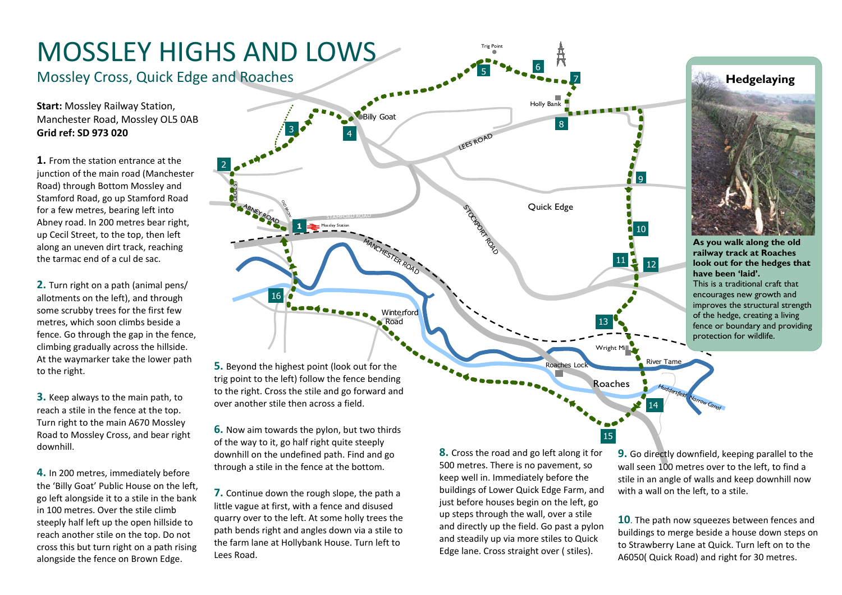



to the right.

**4.** In 200 metres, immediately before the 'Billy Goat' Public House on the left, go left alongside it to a stile in the bank in 100 metres. Over the stile climb steeply half left up the open hillside to reach another stile on the top. Do not cross this but turn right on a path rising alongside the fence on Brown Edge.

over another stile then across a field. **6.** Now aim towards the pylon, but two thirds

of the way to it, go half right quite steeply downhill on the undefined path. Find and go through a stile in the fence at the bottom.

**7.** Continue down the rough slope, the path a little vague at first, with a fence and disused quarry over to the left. At some holly trees the path bends right and angles down via a stile to the farm lane at Hollybank House. Turn left to Lees Road.

**8.** Cross the road and go left along it for 500 metres. There is no pavement, so keep well in. Immediately before the buildings of Lower Quick Edge Farm, and just before houses begin on the left, go up steps through the wall, over a stile and directly up the field. Go past a pylon and steadily up via more stiles to Quick Edge lane. Cross straight over ( stiles).

**9.** Go directly downfield, keeping parallel to the wall seen 100 metres over to the left, to find a stile in an angle of walls and keep downhill now with a wall on the left, to a stile.

*Canal*

14

15

**10**. The path now squeezes between fences and buildings to merge beside a house down steps on to Strawberry Lane at Quick. Turn left on to the A6050( Quick Road) and right for 30 metres.

## **Hedgelaying**



**As you walk along the old railway track at Roaches look out for the hedges that have been 'laid'.** This is <sup>a</sup> traditional craft that encourages new growth and improves the structural strength of the hedge, creating <sup>a</sup> living fence or boundary and providing protection for wildlife.